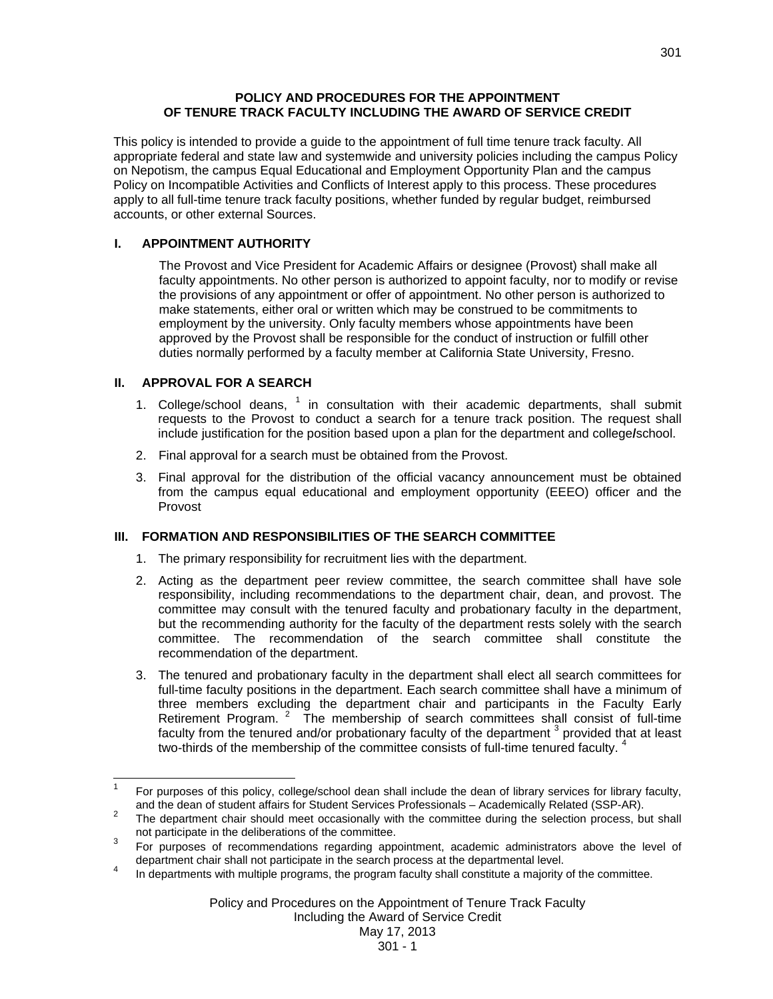# **POLICY AND PROCEDURES FOR THE APPOINTMENT OF TENURE TRACK FACULTY INCLUDING THE AWARD OF SERVICE CREDIT**

This policy is intended to provide a guide to the appointment of full time tenure track faculty. All appropriate federal and state law and systemwide and university policies including the campus Policy on Nepotism, the campus Equal Educational and Employment Opportunity Plan and the campus Policy on Incompatible Activities and Conflicts of Interest apply to this process. These procedures apply to all full-time tenure track faculty positions, whether funded by regular budget, reimbursed accounts, or other external Sources.

# **I. APPOINTMENT AUTHORITY**

The Provost and Vice President for Academic Affairs or designee (Provost) shall make all faculty appointments. No other person is authorized to appoint faculty, nor to modify or revise the provisions of any appointment or offer of appointment. No other person is authorized to make statements, either oral or written which may be construed to be commitments to employment by the university. Only faculty members whose appointments have been approved by the Provost shall be responsible for the conduct of instruction or fulfill other duties normally performed by a faculty member at California State University, Fresno.

# **II. APPROVAL FOR A SEARCH**

- 1. College/school deans,  $1$  in consultation with their academic departments, shall submit requests to the Provost to conduct a search for a tenure track position. The request shall include justification for the position based upon a plan for the department and college**/**school.
- 2. Final approval for a search must be obtained from the Provost.
- 3. Final approval for the distribution of the official vacancy announcement must be obtained from the campus equal educational and employment opportunity (EEEO) officer and the Provost

# **III. FORMATION AND RESPONSIBILITIES OF THE SEARCH COMMITTEE**

- 1. The primary responsibility for recruitment lies with the department.
- 2. Acting as the department peer review committee, the search committee shall have sole responsibility, including recommendations to the department chair, dean, and provost. The committee may consult with the tenured faculty and probationary faculty in the department, but the recommending authority for the faculty of the department rests solely with the search committee. The recommendation of the search committee shall constitute the recommendation of the department.
- 3. The tenured and probationary faculty in the department shall elect all search committees for full-time faculty positions in the department. Each search committee shall have a minimum of three members excluding the department chair and participants in the Faculty Early Retirement Program.  $2$  The membership of search committees shall consist of full-time faculty from the tenured and/or probationary faculty of the department  $^3$  provided that at least two-thirds of the membership of the committee consists of full-time tenured faculty.<sup>4</sup>

 $\frac{1}{1}$  For purposes of this policy, college/school dean shall include the dean of library services for library faculty, and the dean of student affairs for Student Services Professionals – Academically Related (SSP-AR).

The department chair should meet occasionally with the committee during the selection process, but shall not participate in the deliberations of the committee.

<sup>3</sup> For purposes of recommendations regarding appointment, academic administrators above the level of department chair shall not participate in the search process at the departmental level.

In departments with multiple programs, the program faculty shall constitute a majority of the committee.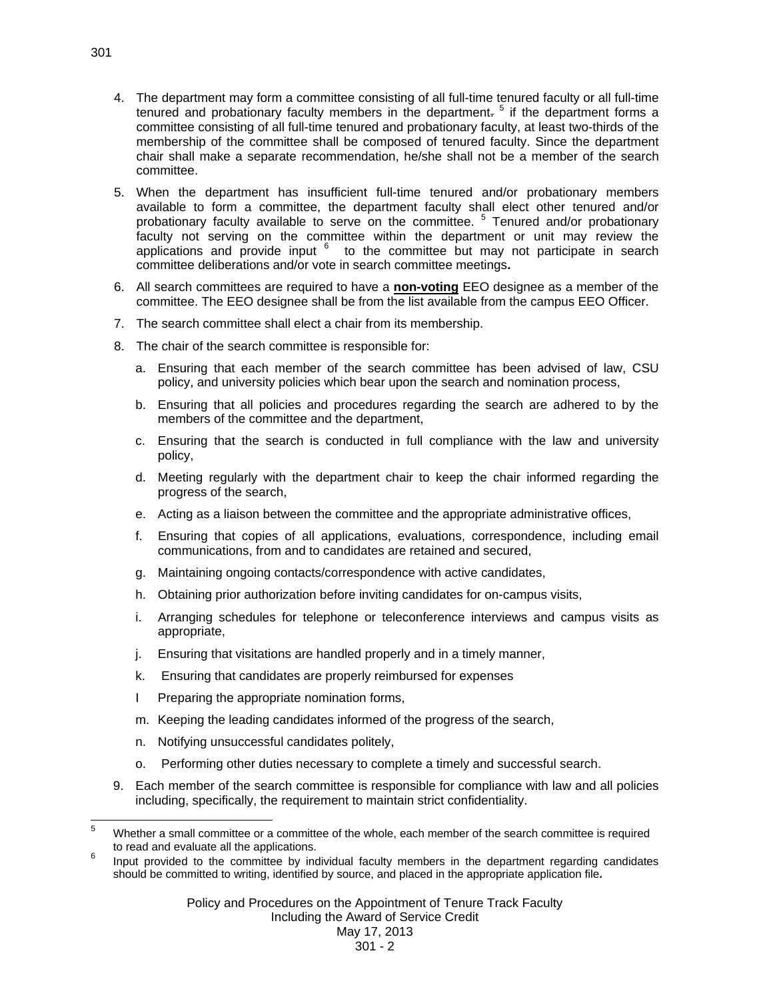- 4. The department may form a committee consisting of all full-time tenured faculty or all full-time tenured and probationary faculty members in the department.<sup>5</sup> if the department forms a committee consisting of all full-time tenured and probationary faculty, at least two-thirds of the membership of the committee shall be composed of tenured faculty. Since the department chair shall make a separate recommendation, he/she shall not be a member of the search committee.
- 5. When the department has insufficient full-time tenured and/or probationary members available to form a committee, the department faculty shall elect other tenured and/or probationary faculty available to serve on the committee. <sup>5</sup> Tenured and/or probationary faculty not serving on the committee within the department or unit may review the applications and provide input  $6$  to the committee but may not participate in search committee deliberations and/or vote in search committee meetings**.**
- 6. All search committees are required to have a **non-voting** EEO designee as a member of the committee. The EEO designee shall be from the list available from the campus EEO Officer.
- 7. The search committee shall elect a chair from its membership.
- 8. The chair of the search committee is responsible for:
	- a. Ensuring that each member of the search committee has been advised of law, CSU policy, and university policies which bear upon the search and nomination process,
	- b. Ensuring that all policies and procedures regarding the search are adhered to by the members of the committee and the department,
	- c. Ensuring that the search is conducted in full compliance with the law and university policy,
	- d. Meeting regularly with the department chair to keep the chair informed regarding the progress of the search,
	- e. Acting as a liaison between the committee and the appropriate administrative offices,
	- f. Ensuring that copies of all applications, evaluations, correspondence, including email communications, from and to candidates are retained and secured,
	- g. Maintaining ongoing contacts/correspondence with active candidates,
	- h. Obtaining prior authorization before inviting candidates for on-campus visits,
	- i. Arranging schedules for telephone or teleconference interviews and campus visits as appropriate,
	- j. Ensuring that visitations are handled properly and in a timely manner,
	- k. Ensuring that candidates are properly reimbursed for expenses
	- I Preparing the appropriate nomination forms,
	- m. Keeping the leading candidates informed of the progress of the search,
	- n. Notifying unsuccessful candidates politely,
	- o. Performing other duties necessary to complete a timely and successful search.
- 9. Each member of the search committee is responsible for compliance with law and all policies including, specifically, the requirement to maintain strict confidentiality.

 $\frac{1}{5}$  Whether a small committee or a committee of the whole, each member of the search committee is required to read and evaluate all the applications.

Input provided to the committee by individual faculty members in the department regarding candidates should be committed to writing, identified by source, and placed in the appropriate application file**.**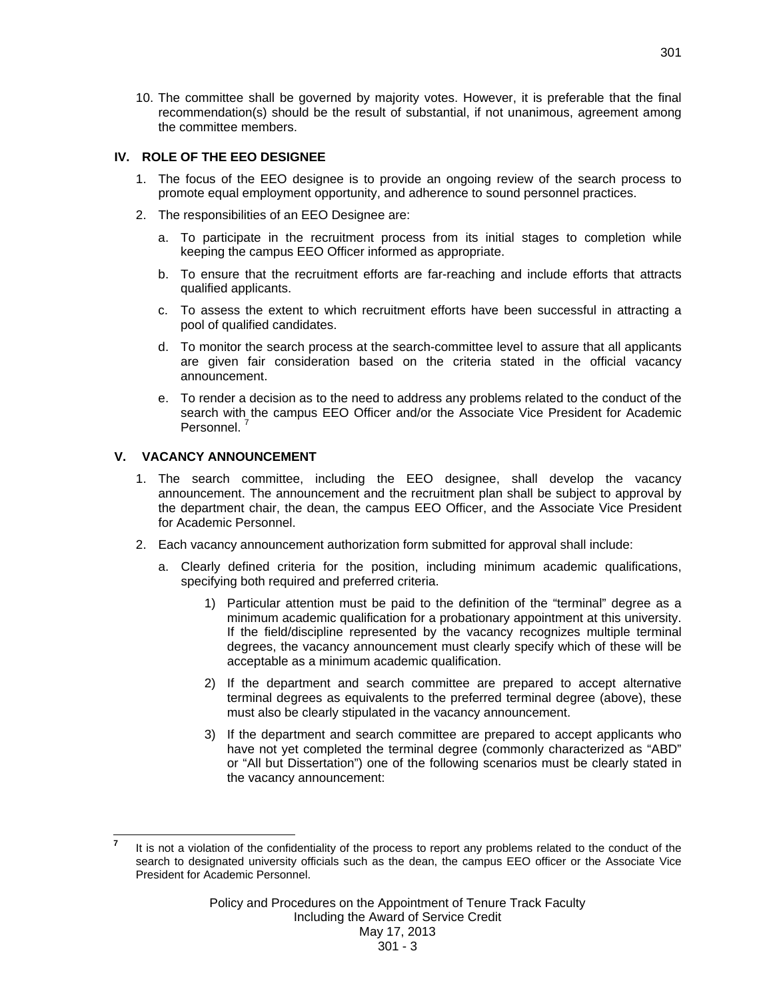10. The committee shall be governed by majority votes. However, it is preferable that the final recommendation(s) should be the result of substantial, if not unanimous, agreement among the committee members.

### **IV. ROLE OF THE EEO DESIGNEE**

- 1. The focus of the EEO designee is to provide an ongoing review of the search process to promote equal employment opportunity, and adherence to sound personnel practices.
- 2. The responsibilities of an EEO Designee are:
	- a. To participate in the recruitment process from its initial stages to completion while keeping the campus EEO Officer informed as appropriate.
	- b. To ensure that the recruitment efforts are far-reaching and include efforts that attracts qualified applicants.
	- c. To assess the extent to which recruitment efforts have been successful in attracting a pool of qualified candidates.
	- d. To monitor the search process at the search-committee level to assure that all applicants are given fair consideration based on the criteria stated in the official vacancy announcement.
	- e. To render a decision as to the need to address any problems related to the conduct of the search with the campus EEO Officer and/or the Associate Vice President for Academic Personnel<sup>7</sup>

# **V. VACANCY ANNOUNCEMENT**

l

- 1. The search committee, including the EEO designee, shall develop the vacancy announcement. The announcement and the recruitment plan shall be subject to approval by the department chair, the dean, the campus EEO Officer, and the Associate Vice President for Academic Personnel.
- 2. Each vacancy announcement authorization form submitted for approval shall include:
	- a. Clearly defined criteria for the position, including minimum academic qualifications, specifying both required and preferred criteria.
		- 1) Particular attention must be paid to the definition of the "terminal" degree as a minimum academic qualification for a probationary appointment at this university. If the field/discipline represented by the vacancy recognizes multiple terminal degrees, the vacancy announcement must clearly specify which of these will be acceptable as a minimum academic qualification.
		- 2) If the department and search committee are prepared to accept alternative terminal degrees as equivalents to the preferred terminal degree (above), these must also be clearly stipulated in the vacancy announcement.
		- 3) If the department and search committee are prepared to accept applicants who have not yet completed the terminal degree (commonly characterized as "ABD" or "All but Dissertation") one of the following scenarios must be clearly stated in the vacancy announcement:

**<sup>7</sup>** It is not a violation of the confidentiality of the process to report any problems related to the conduct of the search to designated university officials such as the dean, the campus EEO officer or the Associate Vice President for Academic Personnel.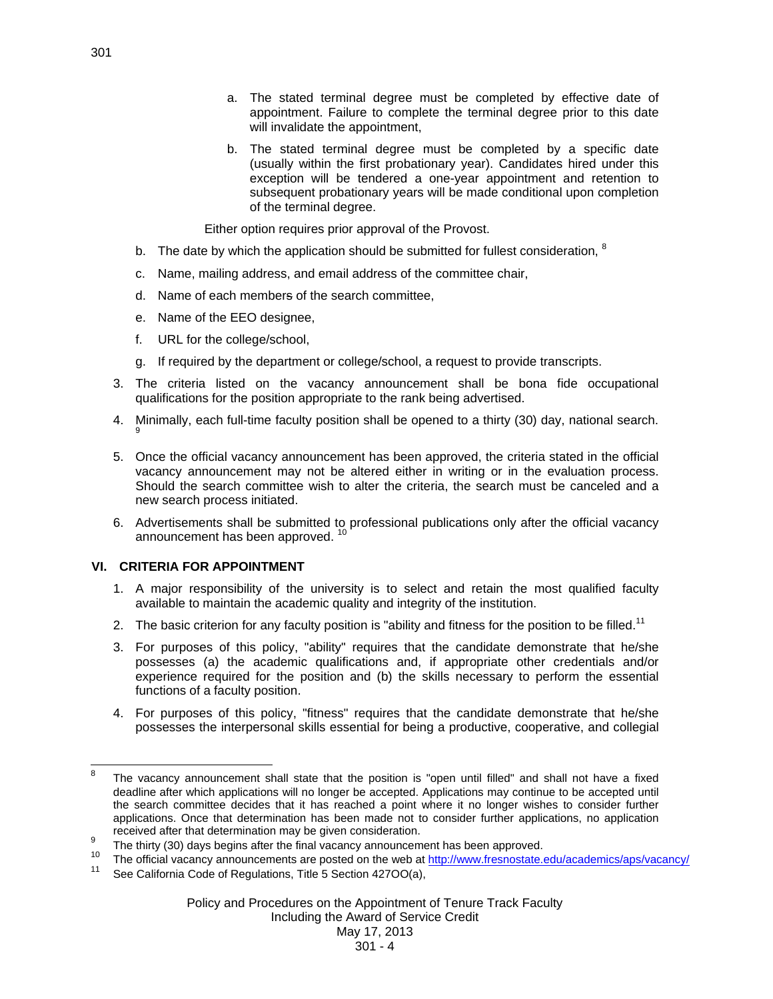- a. The stated terminal degree must be completed by effective date of appointment. Failure to complete the terminal degree prior to this date will invalidate the appointment.
- b. The stated terminal degree must be completed by a specific date (usually within the first probationary year). Candidates hired under this exception will be tendered a one-year appointment and retention to subsequent probationary years will be made conditional upon completion of the terminal degree.

Either option requires prior approval of the Provost.

- b. The date by which the application should be submitted for fullest consideration,  $8$
- c. Name, mailing address, and email address of the committee chair,
- d. Name of each members of the search committee,
- e. Name of the EEO designee,
- f. URL for the college/school,
- g. If required by the department or college/school, a request to provide transcripts.
- 3. The criteria listed on the vacancy announcement shall be bona fide occupational qualifications for the position appropriate to the rank being advertised.
- 4. Minimally, each full-time faculty position shall be opened to a thirty (30) day, national search.
- 5. Once the official vacancy announcement has been approved, the criteria stated in the official vacancy announcement may not be altered either in writing or in the evaluation process. Should the search committee wish to alter the criteria, the search must be canceled and a new search process initiated.
- 6. Advertisements shall be submitted to professional publications only after the official vacancy announcement has been approved.<sup>10</sup>

# **VI. CRITERIA FOR APPOINTMENT**

- 1. A major responsibility of the university is to select and retain the most qualified faculty available to maintain the academic quality and integrity of the institution.
- 2. The basic criterion for any faculty position is "ability and fitness for the position to be filled.<sup>11</sup>
- 3. For purposes of this policy, "ability" requires that the candidate demonstrate that he/she possesses (a) the academic qualifications and, if appropriate other credentials and/or experience required for the position and (b) the skills necessary to perform the essential functions of a faculty position.
- 4. For purposes of this policy, "fitness" requires that the candidate demonstrate that he/she possesses the interpersonal skills essential for being a productive, cooperative, and collegial

Including the Award of Service Credit

# May 17, 2013

<sup>-&</sup>lt;br>8 The vacancy announcement shall state that the position is "open until filled" and shall not have a fixed deadline after which applications will no longer be accepted. Applications may continue to be accepted until the search committee decides that it has reached a point where it no longer wishes to consider further applications. Once that determination has been made not to consider further applications, no application received after that determination may be given consideration.<br><sup>9</sup> The thirty (30) days begins after the final vacancy announcement has been approved.

<sup>&</sup>lt;sup>10</sup> The official vacancy announcements are posted on the web at http://www.fresnostate.edu/academics/aps/vacancy/<br><sup>11</sup> See California Code of Regulations, Title 5 Section 427OO(a),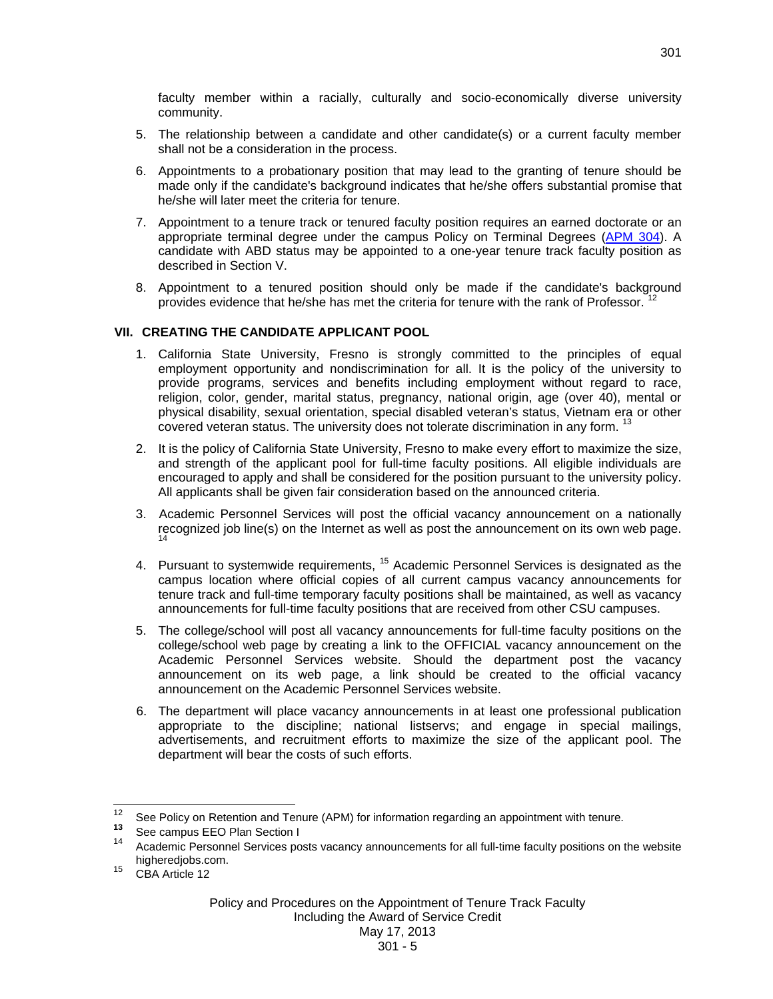faculty member within a racially, culturally and socio-economically diverse university community.

- 5. The relationship between a candidate and other candidate(s) or a current faculty member shall not be a consideration in the process.
- 6. Appointments to a probationary position that may lead to the granting of tenure should be made only if the candidate's background indicates that he/she offers substantial promise that he/she will later meet the criteria for tenure.
- 7. Appointment to a tenure track or tenured faculty position requires an earned doctorate or an appropriate terminal degree under the campus Policy on Terminal Degrees (APM 304). A candidate with ABD status may be appointed to a one-year tenure track faculty position as described in Section V.
- 8. Appointment to a tenured position should only be made if the candidate's background provides evidence that he/she has met the criteria for tenure with the rank of Professor.

# **VII. CREATING THE CANDIDATE APPLICANT POOL**

- 1. California State University, Fresno is strongly committed to the principles of equal employment opportunity and nondiscrimination for all. It is the policy of the university to provide programs, services and benefits including employment without regard to race, religion, color, gender, marital status, pregnancy, national origin, age (over 40), mental or physical disability, sexual orientation, special disabled veteran's status, Vietnam era or other covered veteran status. The university does not tolerate discrimination in any form. <sup>13</sup>
- 2. It is the policy of California State University, Fresno to make every effort to maximize the size, and strength of the applicant pool for full-time faculty positions. All eligible individuals are encouraged to apply and shall be considered for the position pursuant to the university policy. All applicants shall be given fair consideration based on the announced criteria.
- 3. Academic Personnel Services will post the official vacancy announcement on a nationally recognized job line(s) on the Internet as well as post the announcement on its own web page.
- 4. Pursuant to systemwide requirements, <sup>15</sup> Academic Personnel Services is designated as the campus location where official copies of all current campus vacancy announcements for tenure track and full-time temporary faculty positions shall be maintained, as well as vacancy announcements for full-time faculty positions that are received from other CSU campuses.
- 5. The college/school will post all vacancy announcements for full-time faculty positions on the college/school web page by creating a link to the OFFICIAL vacancy announcement on the Academic Personnel Services website. Should the department post the vacancy announcement on its web page, a link should be created to the official vacancy announcement on the Academic Personnel Services website.
- 6. The department will place vacancy announcements in at least one professional publication appropriate to the discipline; national listservs; and engage in special mailings, advertisements, and recruitment efforts to maximize the size of the applicant pool. The department will bear the costs of such efforts.

 $12$ <sup>12</sup> See Policy on Retention and Tenure (APM) for information regarding an appointment with tenure.<br><sup>13</sup> See campus EEO Plan Section I<br><sup>14</sup> Asedemia Bersonnel Services posts vessorsy appeupasments for all full time foculty

Academic Personnel Services posts vacancy announcements for all full-time faculty positions on the website higheredjobs.com.<br><sup>15</sup> CBA Article 12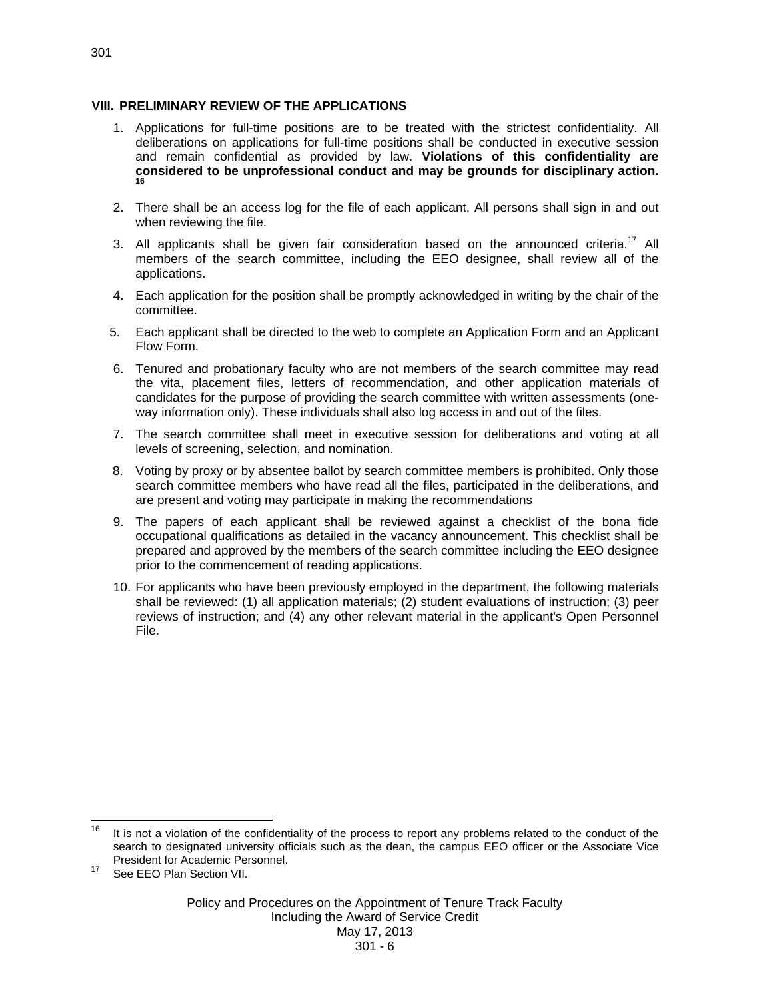#### **VIII. PRELIMINARY REVIEW OF THE APPLICATIONS**

- 1. Applications for full-time positions are to be treated with the strictest confidentiality. All deliberations on applications for full-time positions shall be conducted in executive session and remain confidential as provided by law. **Violations of this confidentiality are considered to be unprofessional conduct and may be grounds for disciplinary action. 16**
- 2. There shall be an access log for the file of each applicant. All persons shall sign in and out when reviewing the file.
- 3. All applicants shall be given fair consideration based on the announced criteria.<sup>17</sup> All members of the search committee, including the EEO designee, shall review all of the applications.
- 4. Each application for the position shall be promptly acknowledged in writing by the chair of the committee.
- 5. Each applicant shall be directed to the web to complete an Application Form and an Applicant Flow Form.
- 6. Tenured and probationary faculty who are not members of the search committee may read the vita, placement files, letters of recommendation, and other application materials of candidates for the purpose of providing the search committee with written assessments (oneway information only). These individuals shall also log access in and out of the files.
- 7. The search committee shall meet in executive session for deliberations and voting at all levels of screening, selection, and nomination.
- 8. Voting by proxy or by absentee ballot by search committee members is prohibited. Only those search committee members who have read all the files, participated in the deliberations, and are present and voting may participate in making the recommendations
- 9. The papers of each applicant shall be reviewed against a checklist of the bona fide occupational qualifications as detailed in the vacancy announcement. This checklist shall be prepared and approved by the members of the search committee including the EEO designee prior to the commencement of reading applications.
- 10. For applicants who have been previously employed in the department, the following materials shall be reviewed: (1) all application materials; (2) student evaluations of instruction; (3) peer reviews of instruction; and (4) any other relevant material in the applicant's Open Personnel File.

<sup>16</sup> 16 It is not a violation of the confidentiality of the process to report any problems related to the conduct of the search to designated university officials such as the dean, the campus EEO officer or the Associate Vice President for Academic Personnel.

See EEO Plan Section VII.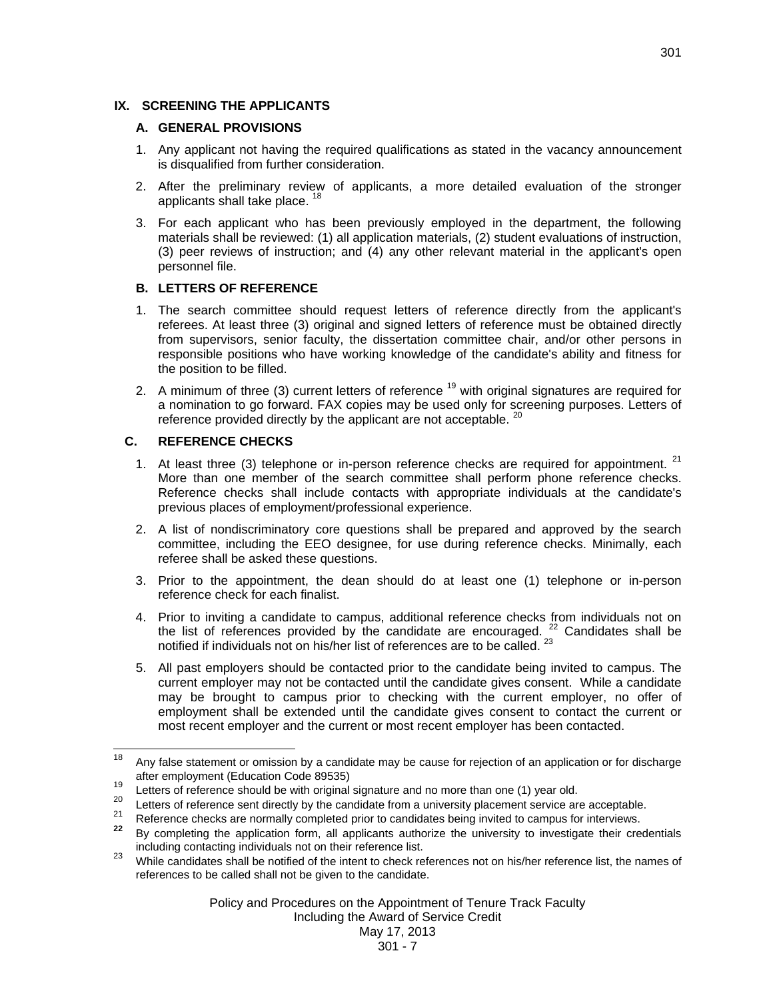# **IX. SCREENING THE APPLICANTS**

#### **A. GENERAL PROVISIONS**

- 1. Any applicant not having the required qualifications as stated in the vacancy announcement is disqualified from further consideration.
- 2. After the preliminary review of applicants, a more detailed evaluation of the stronger applicants shall take place.<sup>18</sup>
- 3. For each applicant who has been previously employed in the department, the following materials shall be reviewed: (1) all application materials, (2) student evaluations of instruction, (3) peer reviews of instruction; and (4) any other relevant material in the applicant's open personnel file.

#### **B. LETTERS OF REFERENCE**

- 1. The search committee should request letters of reference directly from the applicant's referees. At least three (3) original and signed letters of reference must be obtained directly from supervisors, senior faculty, the dissertation committee chair, and/or other persons in responsible positions who have working knowledge of the candidate's ability and fitness for the position to be filled.
- 2. A minimum of three (3) current letters of reference  $19$  with original signatures are required for a nomination to go forward. FAX copies may be used only for screening purposes. Letters of reference provided directly by the applicant are not acceptable. <sup>20</sup>

#### **C. REFERENCE CHECKS**

- 1. At least three (3) telephone or in-person reference checks are required for appointment.  $21$ More than one member of the search committee shall perform phone reference checks. Reference checks shall include contacts with appropriate individuals at the candidate's previous places of employment/professional experience.
- 2. A list of nondiscriminatory core questions shall be prepared and approved by the search committee, including the EEO designee, for use during reference checks. Minimally, each referee shall be asked these questions.
- 3. Prior to the appointment, the dean should do at least one (1) telephone or in-person reference check for each finalist.
- 4. Prior to inviting a candidate to campus, additional reference checks from individuals not on the list of references provided by the candidate are encouraged.  $22$  Candidates shall be notified if individuals not on his/her list of references are to be called. <sup>23</sup>
- 5. All past employers should be contacted prior to the candidate being invited to campus. The current employer may not be contacted until the candidate gives consent. While a candidate may be brought to campus prior to checking with the current employer, no offer of employment shall be extended until the candidate gives consent to contact the current or most recent employer and the current or most recent employer has been contacted.

May 17, 2013

<sup>18</sup> Any false statement or omission by a candidate may be cause for rejection of an application or for discharge after employment (Education Code 89535)<br>
Letters of reference should be with original signature and no more than one (1) year old.<br>
Letters of reference sent directly by the candidate from a university placement service ar

including contacting individuals not on their reference list.<br><sup>23</sup> While candidates shall be notified of the intent to check references not on his/her reference list, the names of

references to be called shall not be given to the candidate.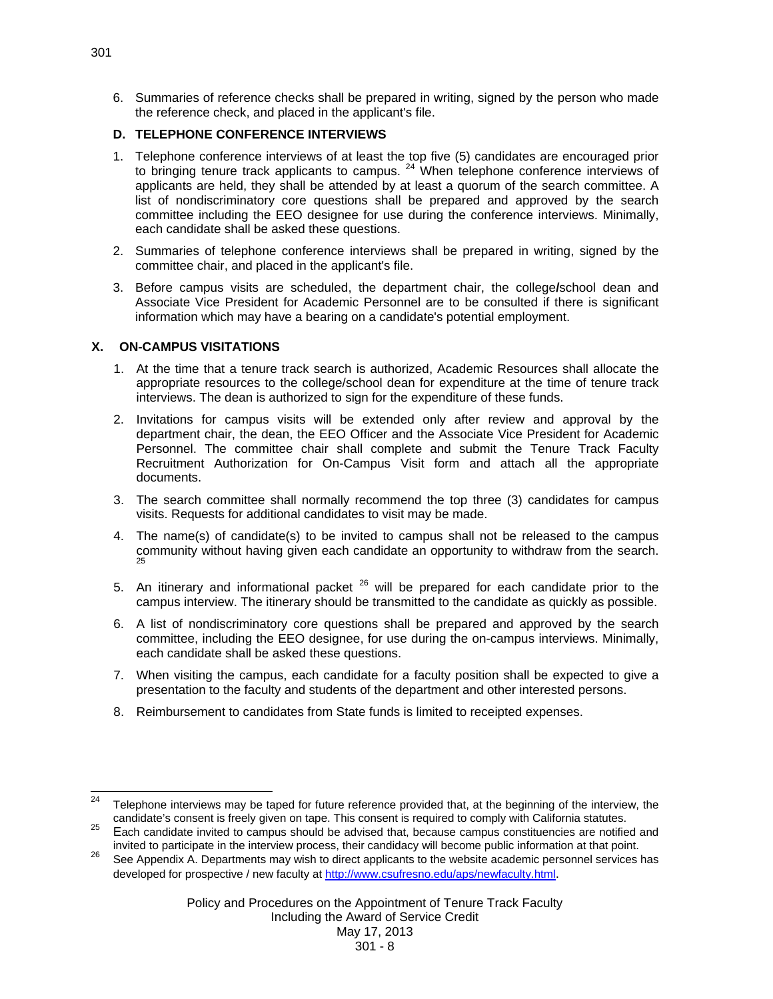6. Summaries of reference checks shall be prepared in writing, signed by the person who made the reference check, and placed in the applicant's file.

# **D. TELEPHONE CONFERENCE INTERVIEWS**

- 1. Telephone conference interviews of at least the top five (5) candidates are encouraged prior to bringing tenure track applicants to campus. <sup>24</sup> When telephone conference interviews of applicants are held, they shall be attended by at least a quorum of the search committee. A list of nondiscriminatory core questions shall be prepared and approved by the search committee including the EEO designee for use during the conference interviews. Minimally, each candidate shall be asked these questions.
- 2. Summaries of telephone conference interviews shall be prepared in writing, signed by the committee chair, and placed in the applicant's file.
- 3. Before campus visits are scheduled, the department chair, the college**/**school dean and Associate Vice President for Academic Personnel are to be consulted if there is significant information which may have a bearing on a candidate's potential employment.

# **X. ON-CAMPUS VISITATIONS**

- 1. At the time that a tenure track search is authorized, Academic Resources shall allocate the appropriate resources to the college/school dean for expenditure at the time of tenure track interviews. The dean is authorized to sign for the expenditure of these funds.
- 2. Invitations for campus visits will be extended only after review and approval by the department chair, the dean, the EEO Officer and the Associate Vice President for Academic Personnel. The committee chair shall complete and submit the Tenure Track Faculty Recruitment Authorization for On-Campus Visit form and attach all the appropriate documents.
- 3. The search committee shall normally recommend the top three (3) candidates for campus visits. Requests for additional candidates to visit may be made.
- 4. The name(s) of candidate(s) to be invited to campus shall not be released to the campus community without having given each candidate an opportunity to withdraw from the search. 25
- 5. An itinerary and informational packet  $26$  will be prepared for each candidate prior to the campus interview. The itinerary should be transmitted to the candidate as quickly as possible.
- 6. A list of nondiscriminatory core questions shall be prepared and approved by the search committee, including the EEO designee, for use during the on-campus interviews. Minimally, each candidate shall be asked these questions.
- 7. When visiting the campus, each candidate for a faculty position shall be expected to give a presentation to the faculty and students of the department and other interested persons.
- 8. Reimbursement to candidates from State funds is limited to receipted expenses.

<sup>24</sup> Telephone interviews may be taped for future reference provided that, at the beginning of the interview, the candidate's consent is freely given on tape. This consent is required to comply with California statutes.<br><sup>25</sup> Each candidate invited to campus should be advised that, because campus constituencies are notified and

invited to participate in the interview process, their candidacy will become public information at that point.<br><sup>26</sup> See Appendix A. Departments may wish to direct applicants to the website academic personnel services has

developed for prospective / new faculty at http://www.csufresno.edu/aps/newfaculty.html.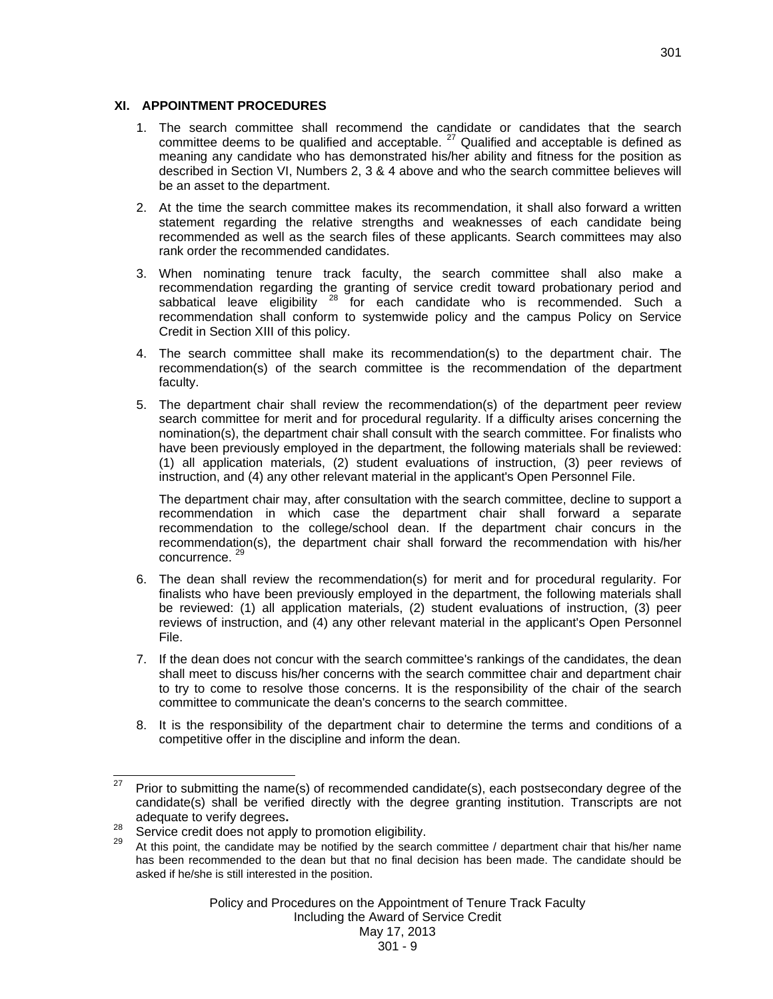#### **XI. APPOINTMENT PROCEDURES**

- 1. The search committee shall recommend the candidate or candidates that the search committee deems to be qualified and acceptable.  $27$  Qualified and acceptable is defined as meaning any candidate who has demonstrated his/her ability and fitness for the position as described in Section VI, Numbers 2, 3 & 4 above and who the search committee believes will be an asset to the department.
- 2. At the time the search committee makes its recommendation, it shall also forward a written statement regarding the relative strengths and weaknesses of each candidate being recommended as well as the search files of these applicants. Search committees may also rank order the recommended candidates.
- 3.When nominating tenure track faculty, the search committee shall also make a recommendation regarding the granting of service credit toward probationary period and sabbatical leave eligibility <sup>28</sup> for each candidate who is recommended. Such a recommendation shall conform to systemwide policy and the campus Policy on Service Credit in Section XIII of this policy.
- 4. The search committee shall make its recommendation(s) to the department chair. The recommendation(s) of the search committee is the recommendation of the department faculty.
- 5. The department chair shall review the recommendation(s) of the department peer review search committee for merit and for procedural regularity. If a difficulty arises concerning the nomination(s), the department chair shall consult with the search committee. For finalists who have been previously employed in the department, the following materials shall be reviewed: (1) all application materials, (2) student evaluations of instruction, (3) peer reviews of instruction, and (4) any other relevant material in the applicant's Open Personnel File.

 The department chair may, after consultation with the search committee, decline to support a recommendation in which case the department chair shall forward a separate recommendation to the college/school dean. If the department chair concurs in the recommendation(s), the department chair shall forward the recommendation with his/her concurrence.<sup>29</sup>

- 6. The dean shall review the recommendation(s) for merit and for procedural regularity. For finalists who have been previously employed in the department, the following materials shall be reviewed: (1) all application materials, (2) student evaluations of instruction, (3) peer reviews of instruction, and (4) any other relevant material in the applicant's Open Personnel File.
- 7. If the dean does not concur with the search committee's rankings of the candidates, the dean shall meet to discuss his/her concerns with the search committee chair and department chair to try to come to resolve those concerns. It is the responsibility of the chair of the search committee to communicate the dean's concerns to the search committee.
- 8. It is the responsibility of the department chair to determine the terms and conditions of a competitive offer in the discipline and inform the dean.

Policy and Procedures on the Appointment of Tenure Track Faculty Including the Award of Service Credit

<sup>27</sup> 27 Prior to submitting the name(s) of recommended candidate(s), each postsecondary degree of the candidate(s) shall be verified directly with the degree granting institution. Transcripts are not adequate to verify degrees.<br><sup>28</sup> Service credit does not apply to promotion eligibility.<br><sup>29</sup> At this point, the candidate may be notified by the search committee / department chair that his/her name

has been recommended to the dean but that no final decision has been made. The candidate should be asked if he/she is still interested in the position.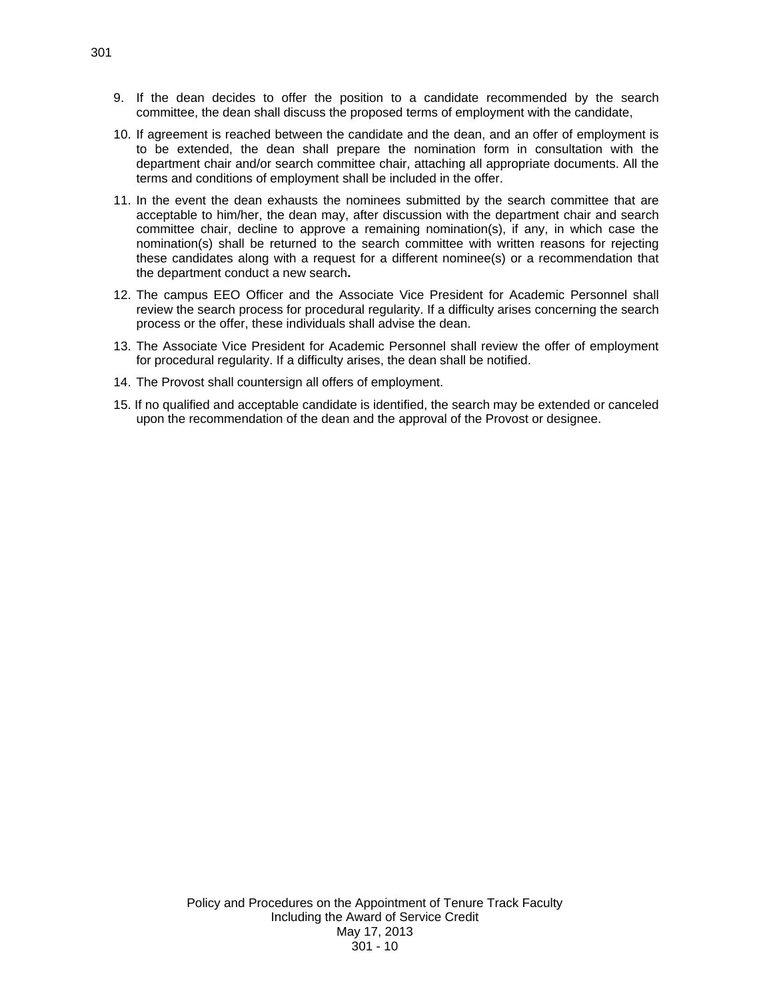- 9. If the dean decides to offer the position to a candidate recommended by the search committee, the dean shall discuss the proposed terms of employment with the candidate,
- 10. If agreement is reached between the candidate and the dean, and an offer of employment is to be extended, the dean shall prepare the nomination form in consultation with the department chair and/or search committee chair, attaching all appropriate documents. All the terms and conditions of employment shall be included in the offer.
- 11. In the event the dean exhausts the nominees submitted by the search committee that are acceptable to him/her, the dean may, after discussion with the department chair and search committee chair, decline to approve a remaining nomination(s), if any, in which case the nomination(s) shall be returned to the search committee with written reasons for rejecting these candidates along with a request for a different nominee(s) or a recommendation that the department conduct a new search**.**
- 12. The campus EEO Officer and the Associate Vice President for Academic Personnel shall review the search process for procedural regularity. If a difficulty arises concerning the search process or the offer, these individuals shall advise the dean.
- 13. The Associate Vice President for Academic Personnel shall review the offer of employment for procedural regularity. If a difficulty arises, the dean shall be notified.
- 14. The Provost shall countersign all offers of employment.
- 15. If no qualified and acceptable candidate is identified, the search may be extended or canceled upon the recommendation of the dean and the approval of the Provost or designee.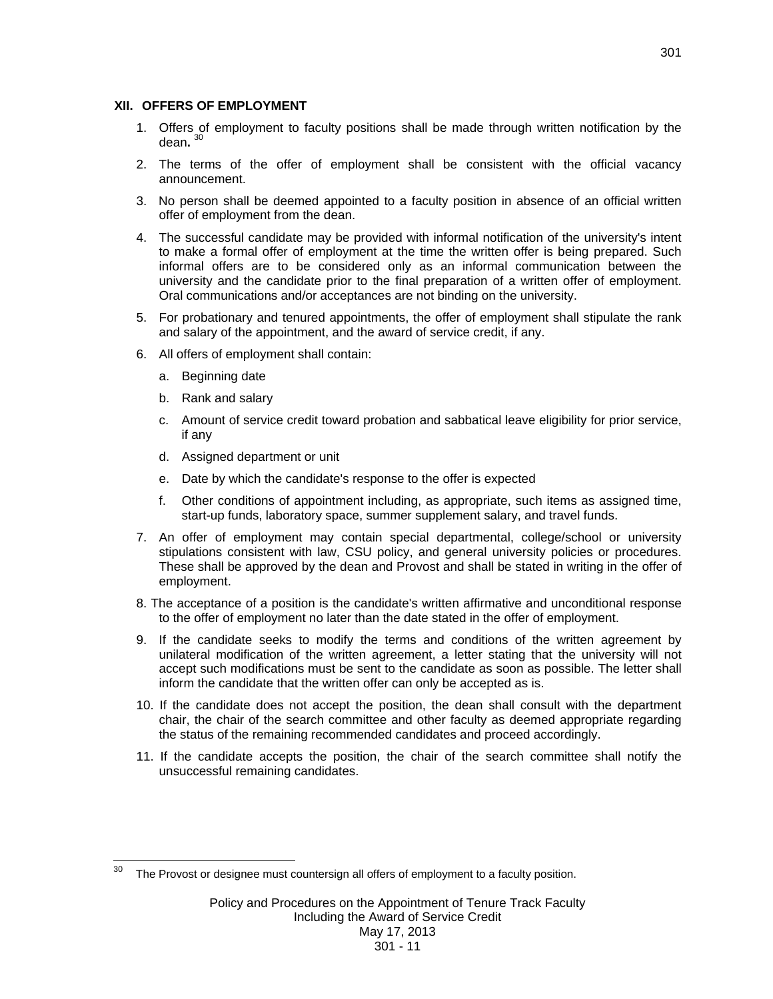#### **XII. OFFERS OF EMPLOYMENT**

- 1. Offers of employment to faculty positions shall be made through written notification by the dean**.** <sup>30</sup>
- 2. The terms of the offer of employment shall be consistent with the official vacancy announcement.
- 3. No person shall be deemed appointed to a faculty position in absence of an official written offer of employment from the dean.
- 4. The successful candidate may be provided with informal notification of the university's intent to make a formal offer of employment at the time the written offer is being prepared. Such informal offers are to be considered only as an informal communication between the university and the candidate prior to the final preparation of a written offer of employment. Oral communications and/or acceptances are not binding on the university.
- 5. For probationary and tenured appointments, the offer of employment shall stipulate the rank and salary of the appointment, and the award of service credit, if any.
- 6. All offers of employment shall contain:
	- a. Beginning date
	- b. Rank and salary
	- c. Amount of service credit toward probation and sabbatical leave eligibility for prior service, if any
	- d. Assigned department or unit
	- e. Date by which the candidate's response to the offer is expected
	- f. Other conditions of appointment including, as appropriate, such items as assigned time, start-up funds, laboratory space, summer supplement salary, and travel funds.
- 7. An offer of employment may contain special departmental, college/school or university stipulations consistent with law, CSU policy, and general university policies or procedures. These shall be approved by the dean and Provost and shall be stated in writing in the offer of employment.
- 8. The acceptance of a position is the candidate's written affirmative and unconditional response to the offer of employment no later than the date stated in the offer of employment.
- 9. If the candidate seeks to modify the terms and conditions of the written agreement by unilateral modification of the written agreement, a letter stating that the university will not accept such modifications must be sent to the candidate as soon as possible. The letter shall inform the candidate that the written offer can only be accepted as is.
- 10. If the candidate does not accept the position, the dean shall consult with the department chair, the chair of the search committee and other faculty as deemed appropriate regarding the status of the remaining recommended candidates and proceed accordingly.
- 11. If the candidate accepts the position, the chair of the search committee shall notify the unsuccessful remaining candidates.

 $30<sub>o</sub>$ The Provost or designee must countersign all offers of employment to a faculty position.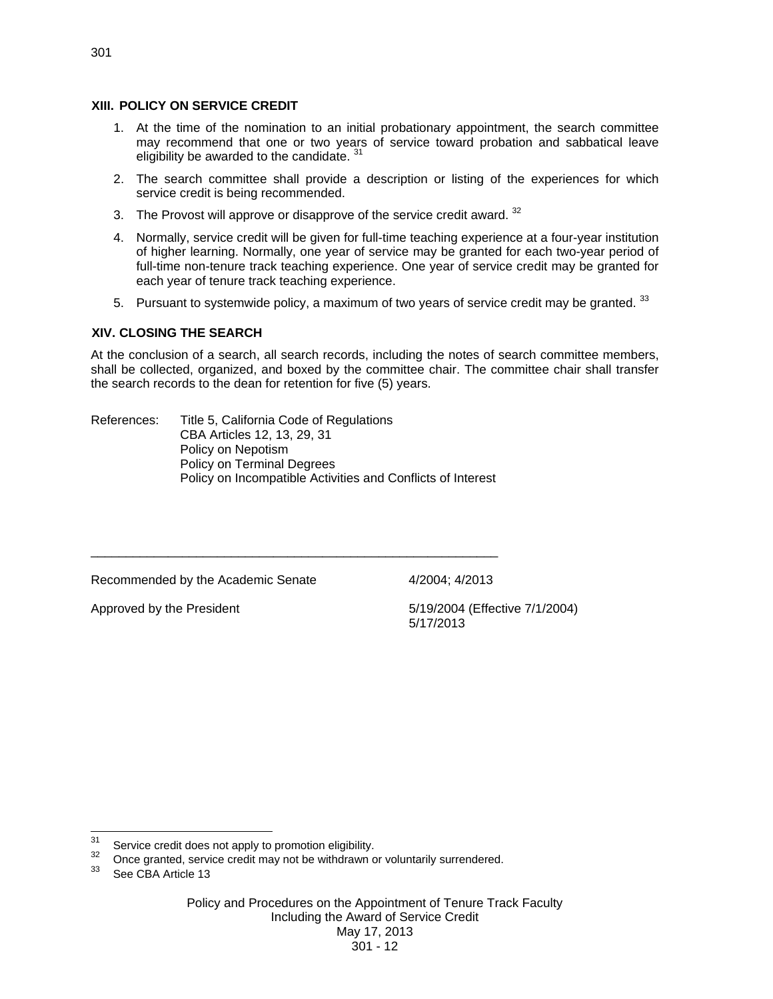## **XIII. POLICY ON SERVICE CREDIT**

- 1. At the time of the nomination to an initial probationary appointment, the search committee may recommend that one or two years of service toward probation and sabbatical leave eligibility be awarded to the candidate. 31
- 2. The search committee shall provide a description or listing of the experiences for which service credit is being recommended.
- 3. The Provost will approve or disapprove of the service credit award.  $32$
- 4. Normally, service credit will be given for full-time teaching experience at a four-year institution of higher learning. Normally, one year of service may be granted for each two-year period of full-time non-tenure track teaching experience. One year of service credit may be granted for each year of tenure track teaching experience.
- 5. Pursuant to systemwide policy, a maximum of two years of service credit may be granted. 33

# **XIV. CLOSING THE SEARCH**

At the conclusion of a search, all search records, including the notes of search committee members, shall be collected, organized, and boxed by the committee chair. The committee chair shall transfer the search records to the dean for retention for five (5) years.

References: Title 5, California Code of Regulations CBA Articles 12, 13, 29, 31 Policy on Nepotism Policy on Terminal Degrees Policy on Incompatible Activities and Conflicts of Interest

\_\_\_\_\_\_\_\_\_\_\_\_\_\_\_\_\_\_\_\_\_\_\_\_\_\_\_\_\_\_\_\_\_\_\_\_\_\_\_\_\_\_\_\_\_\_\_\_\_\_\_\_\_\_\_\_\_\_

Recommended by the Academic Senate 4/2004; 4/2013

Approved by the President 1992 100 and 5/19/2004 (Effective 7/1/2004) 5/17/2013

 $31$ 

<sup>&</sup>lt;sup>31</sup> Service credit does not apply to promotion eligibility.<br><sup>32</sup> Once granted, service credit may not be withdrawn or voluntarily surrendered.<br><sup>33</sup> Once 2DA A ii L.12

See CBA Article 13